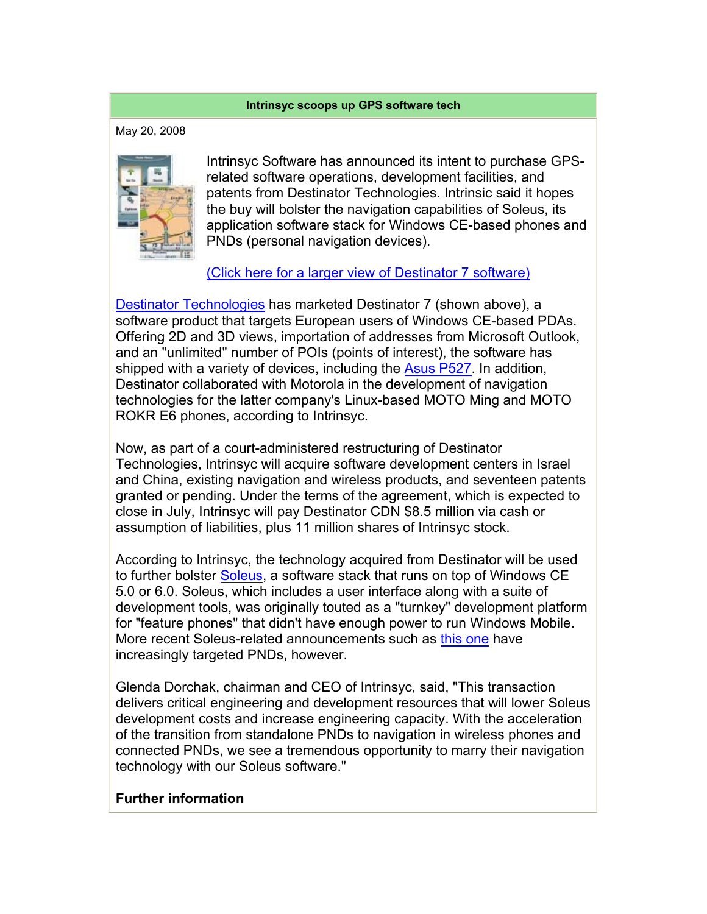## **Intrinsyc scoops up GPS software tech**

May 20, 2008



Intrinsyc Software has announced its intent to purchase GPSrelated software operations, development facilities, and patents from Destinator Technologies. Intrinsic said it hopes the buy will bolster the navigation capabilities of Soleus, its application software stack for Windows CE-based phones and PNDs (personal navigation devices).

(Click here for a larger view of Destinator 7 software)

Destinator Technologies has marketed Destinator 7 (shown above), a software product that targets European users of Windows CE-based PDAs. Offering 2D and 3D views, importation of addresses from Microsoft Outlook, and an "unlimited" number of POIs (points of interest), the software has shipped with a variety of devices, including the Asus P527. In addition, Destinator collaborated with Motorola in the development of navigation technologies for the latter company's Linux-based MOTO Ming and MOTO ROKR E6 phones, according to Intrinsyc.

Now, as part of a court-administered restructuring of Destinator Technologies, Intrinsyc will acquire software development centers in Israel and China, existing navigation and wireless products, and seventeen patents granted or pending. Under the terms of the agreement, which is expected to close in July, Intrinsyc will pay Destinator CDN \$8.5 million via cash or assumption of liabilities, plus 11 million shares of Intrinsyc stock.

According to Intrinsyc, the technology acquired from Destinator will be used to further bolster Soleus, a software stack that runs on top of Windows CE 5.0 or 6.0. Soleus, which includes a user interface along with a suite of development tools, was originally touted as a "turnkey" development platform for "feature phones" that didn't have enough power to run Windows Mobile. More recent Soleus-related announcements such as this one have increasingly targeted PNDs, however.

Glenda Dorchak, chairman and CEO of Intrinsyc, said, "This transaction delivers critical engineering and development resources that will lower Soleus development costs and increase engineering capacity. With the acceleration of the transition from standalone PNDs to navigation in wireless phones and connected PNDs, we see a tremendous opportunity to marry their navigation technology with our Soleus software."

## **Further information**